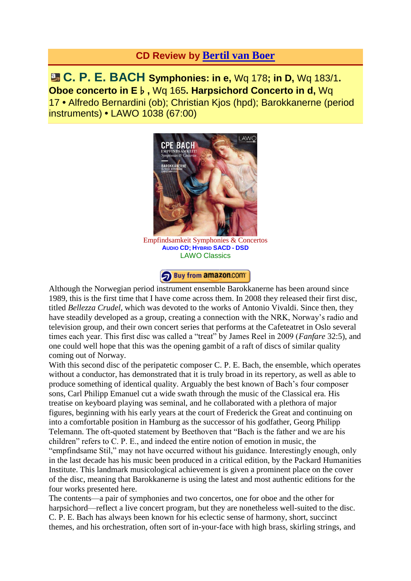## **CD Review by [Bertil](http://www.fanfarearchive.com/indices/itop/reviewers/h1_200.html) van Boer**

**C. P. E. BACH Symphonies: in e,** Wq 178**; in D,** Wq 183/1**. Oboe concerto in E**♭**,** Wq 165**. Harpsichord Concerto in d,** Wq 17 **•** Alfredo Bernardini (ob); Christian Kjos (hpd); Barokkanerne (period instruments) **•** LAWO 1038 (67:00)



[Empfindsamkeit](http://www.amazon.com/gp/product/B00AP5M4JA?ie=UTF8&tag=fanfaremaaolc-20&linkCode=as2&camp=1789&creative=9325&creativeASIN=B00AP5M4JA) Symphonies & Concertos **AUDIO CD; HYBRID SACD - DSD** LAWO [Classics](http://www.amazon.com/gp/product/B00AP5M4JA?ie=UTF8&tag=fanfaremaaolc-20&linkCode=as2&camp=1789&creative=9325&creativeASIN=B00AP5M4JA)



[Although the Norwegian period instrument ensemble Barokka](http://www.amazon.com/gp/product/B00AP5M4JA?ie=UTF8&tag=fanfaremaaolc-20&linkCode=as2&camp=1789&creative=9325&creativeASIN=B00AP5M4JA)nerne has been around since 1989, this is the first time that I have come across them. In 2008 they released their first disc, titled *Bellezza Crudel*, which was devoted to the works of Antonio Vivaldi. Since then, they have steadily developed as a group, creating a connection with the NRK, Norway's radio and television group, and their own concert series that performs at the Cafeteatret in Oslo several times each year. This first disc was called a "treat" by James Reel in 2009 (*Fanfare* 32:5), and one could well hope that this was the opening gambit of a raft of discs of similar quality coming out of Norway.

With this second disc of the peripatetic composer C. P. E. Bach, the ensemble, which operates without a conductor, has demonstrated that it is truly broad in its repertory, as well as able to produce something of identical quality. Arguably the best known of Bach's four composer sons, Carl Philipp Emanuel cut a wide swath through the music of the Classical era. His treatise on keyboard playing was seminal, and he collaborated with a plethora of major figures, beginning with his early years at the court of Frederick the Great and continuing on into a comfortable position in Hamburg as the successor of his godfather, Georg Philipp Telemann. The oft-quoted statement by Beethoven that "Bach is the father and we are his children" refers to C. P. E., and indeed the entire notion of emotion in music, the "empfindsame Stil," may not have occurred without his guidance. Interestingly enough, only in the last decade has his music been produced in a critical edition, by the Packard Humanities Institute. This landmark musicological achievement is given a prominent place on the cover of the disc, meaning that Barokkanerne is using the latest and most authentic editions for the four works presented here.

The contents—a pair of symphonies and two concertos, one for oboe and the other for harpsichord—reflect a live concert program, but they are nonetheless well-suited to the disc. C. P. E. Bach has always been known for his eclectic sense of harmony, short, succinct themes, and his orchestration, often sort of in-your-face with high brass, skirling strings, and